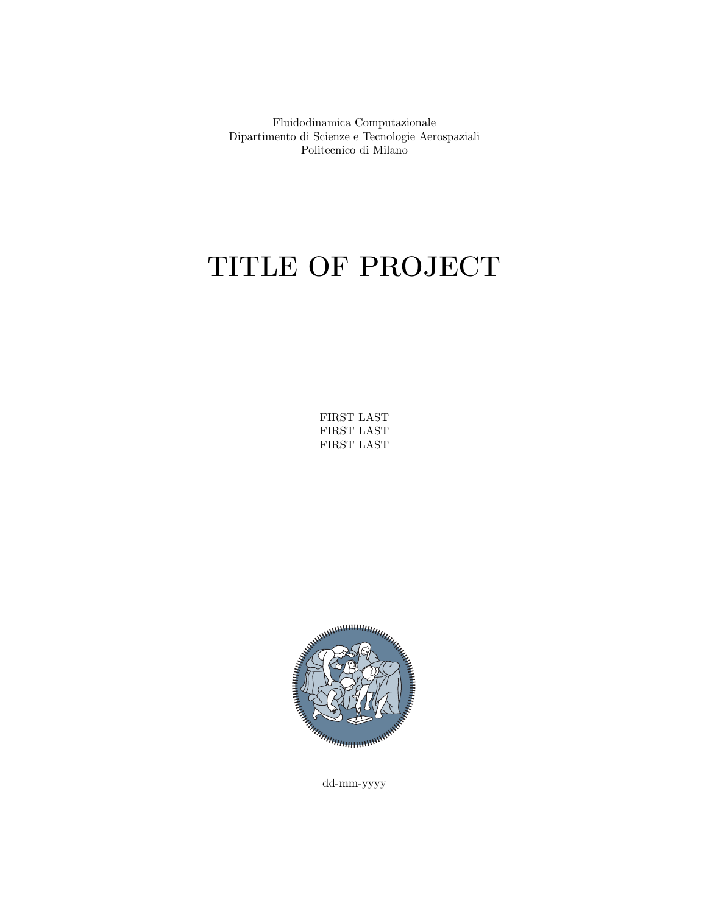Fluidodinamica Computazionale Dipartimento di Scienze e Tecnologie Aerospaziali Politecnico di Milano

# TITLE OF PROJECT

FIRST LAST FIRST LAST FIRST LAST



dd-mm-yyyy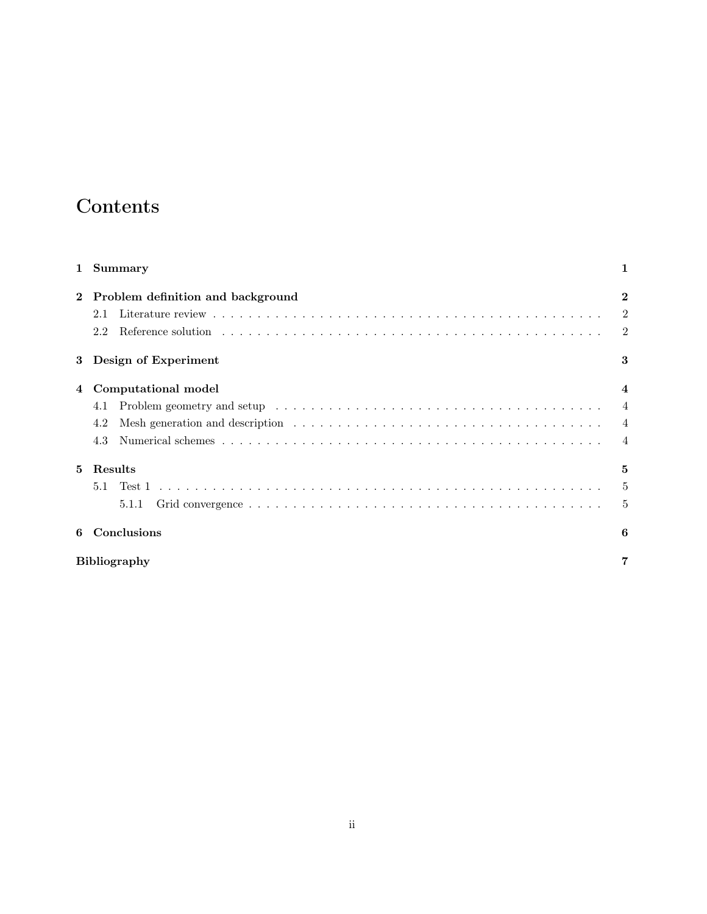#### Contents

|    | 1 Summary                         |                |
|----|-----------------------------------|----------------|
|    | Problem definition and background | $\mathbf{2}$   |
|    | 2.1                               | $\overline{2}$ |
|    | 2.2                               | 2              |
| 3  | Design of Experiment              | 3              |
| 4  | Computational model               | $\overline{4}$ |
|    | 4.1                               | $\overline{4}$ |
|    | 4.2                               | $\overline{4}$ |
|    | 4.3                               | $\overline{4}$ |
| 5. | Results                           | 5              |
|    | 5.1                               | 5              |
|    | 5.1.1                             | 5              |
| 6  | Conclusions                       | 6              |
|    | <b>Bibliography</b>               |                |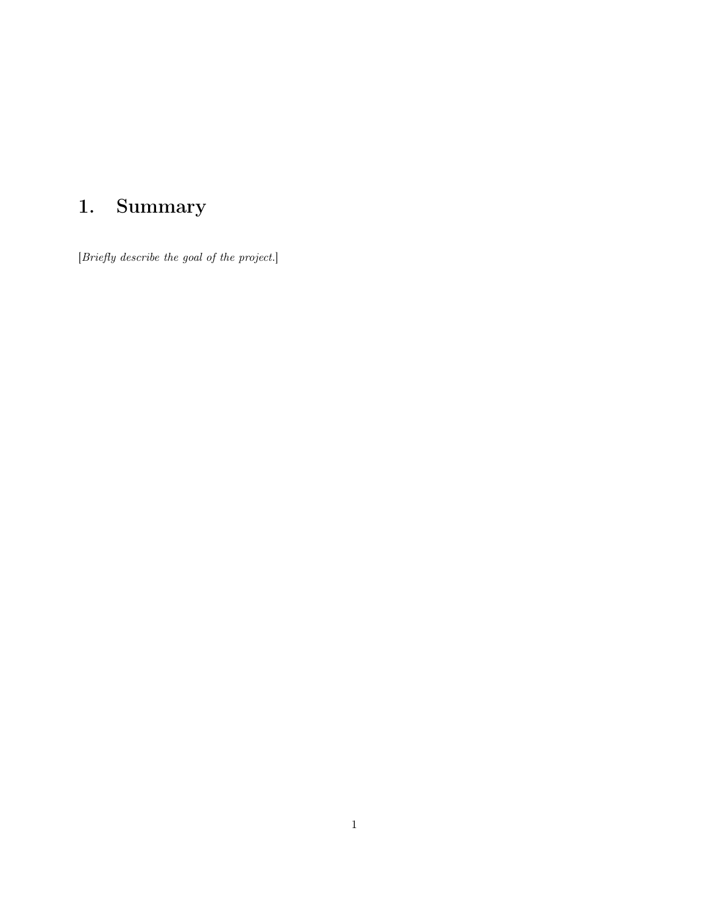# <span id="page-2-0"></span>1. Summary

[Briefly describe the goal of the project.]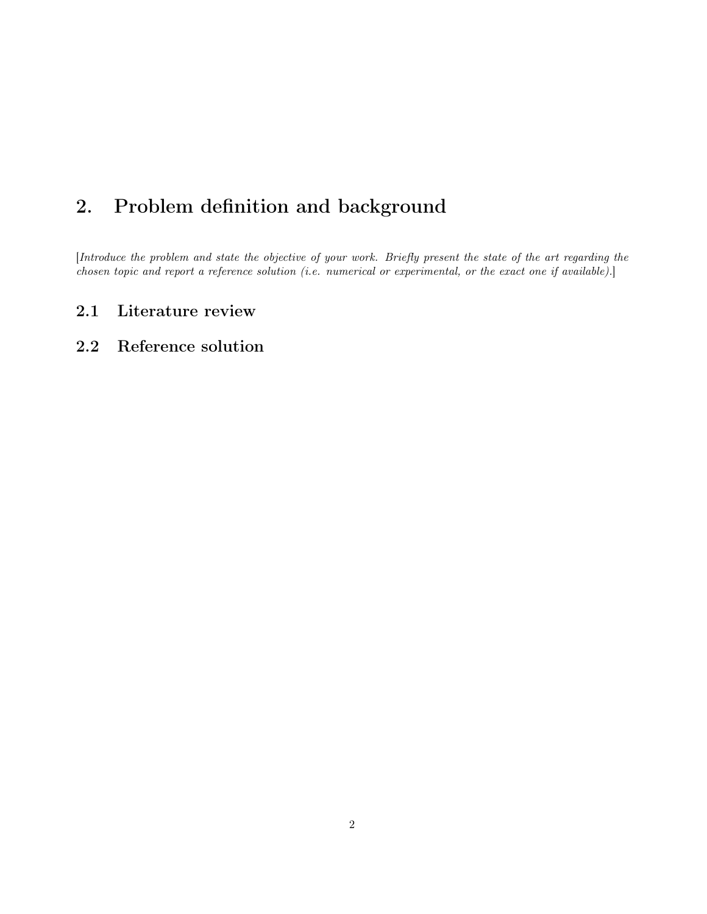#### <span id="page-3-0"></span>2. Problem definition and background

[Introduce the problem and state the objective of your work. Briefly present the state of the art regarding the chosen topic and report a reference solution (i.e. numerical or experimental, or the exact one if available).]

#### <span id="page-3-1"></span>2.1 Literature review

#### <span id="page-3-2"></span>2.2 Reference solution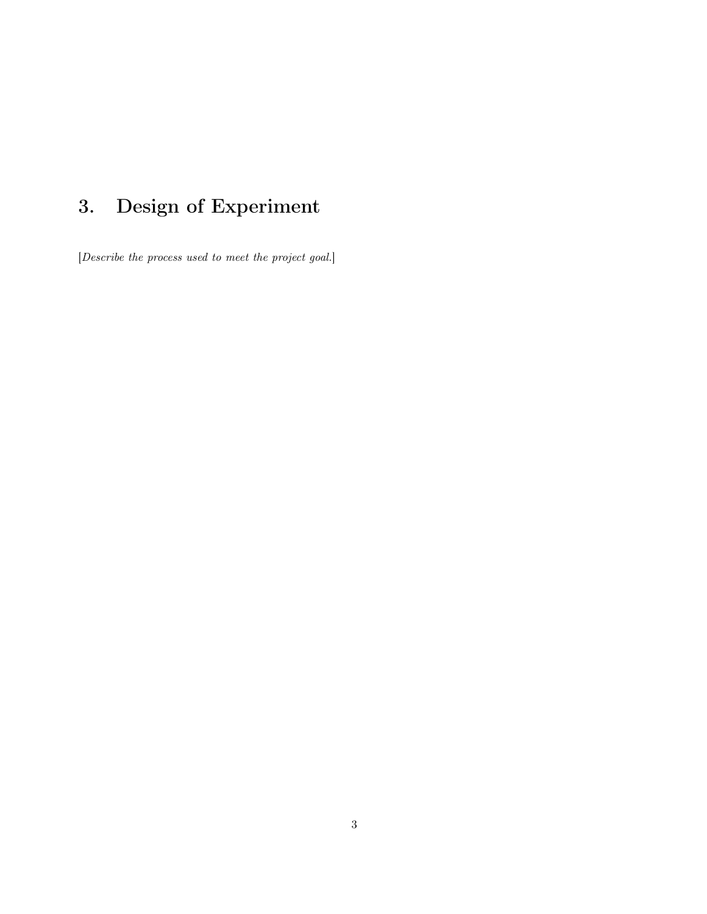# <span id="page-4-0"></span>3. Design of Experiment

[Describe the process used to meet the project goal.]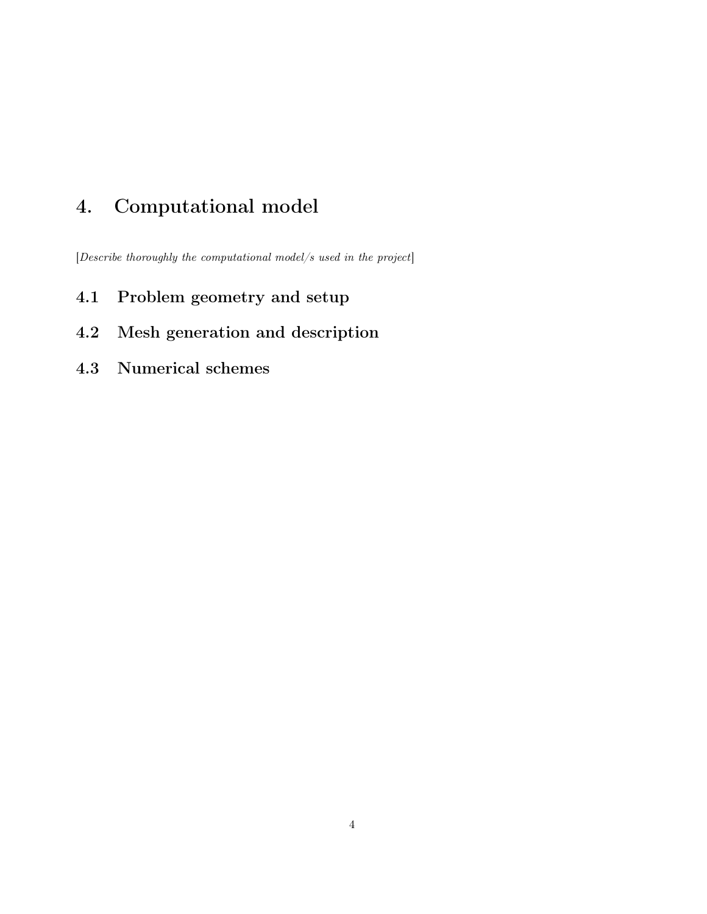### <span id="page-5-0"></span>4. Computational model

[Describe thoroughly the computational model/s used in the project]

- <span id="page-5-1"></span>4.1 Problem geometry and setup
- <span id="page-5-2"></span>4.2 Mesh generation and description
- <span id="page-5-3"></span>4.3 Numerical schemes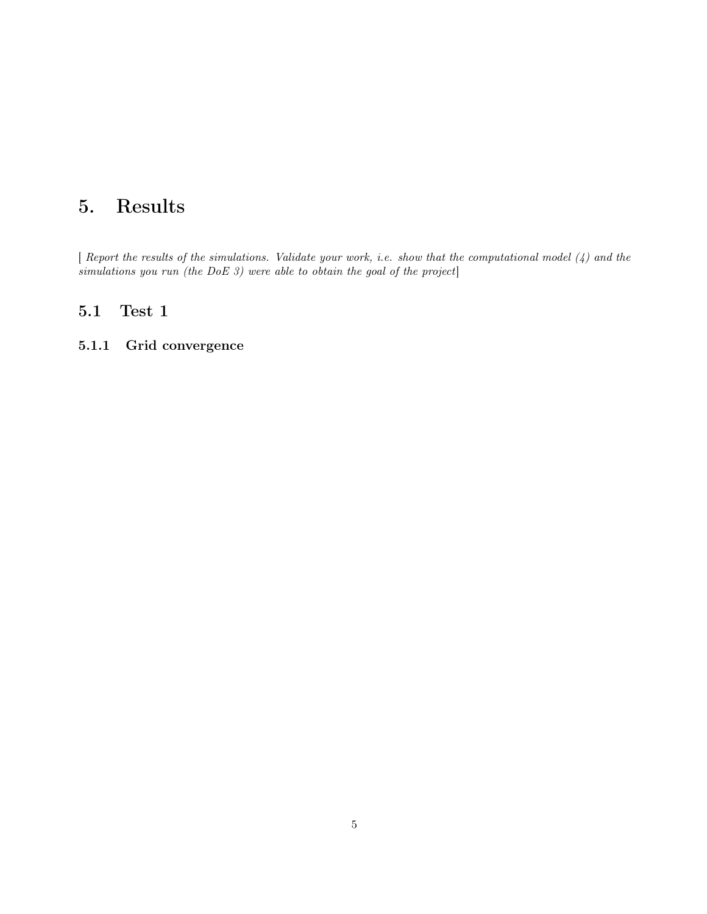#### <span id="page-6-0"></span>5. Results

[ Report the results of the simulations. Validate your work, i.e. show that the computational model [\(4\)](#page-5-0) and the simulations you run (the DoE [3\)](#page-4-0) were able to obtain the goal of the project]

#### <span id="page-6-1"></span>5.1 Test 1

#### <span id="page-6-2"></span>5.1.1 Grid convergence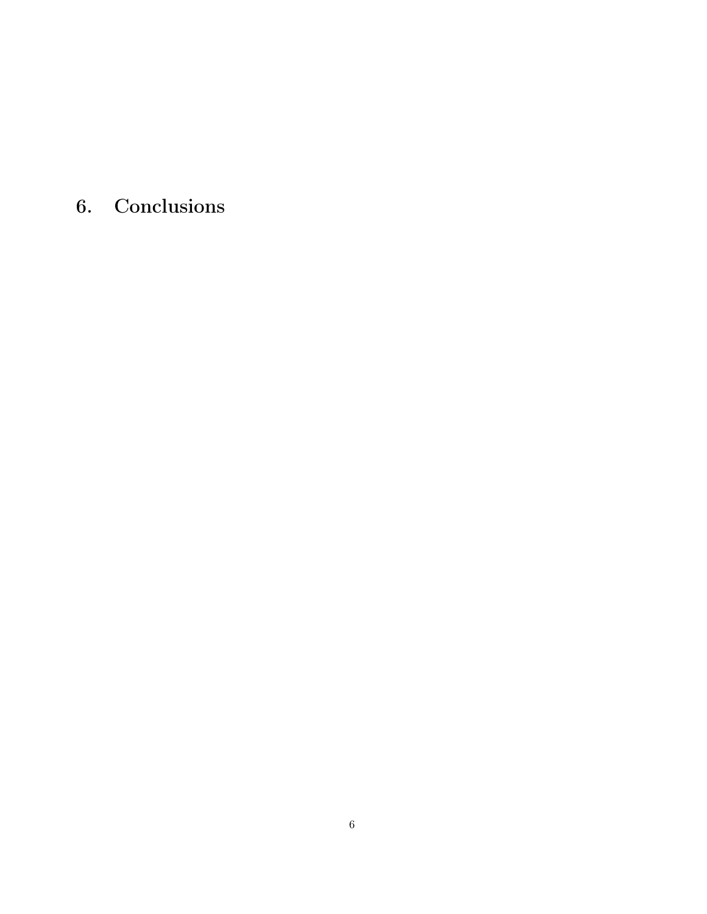<span id="page-7-0"></span>6. Conclusions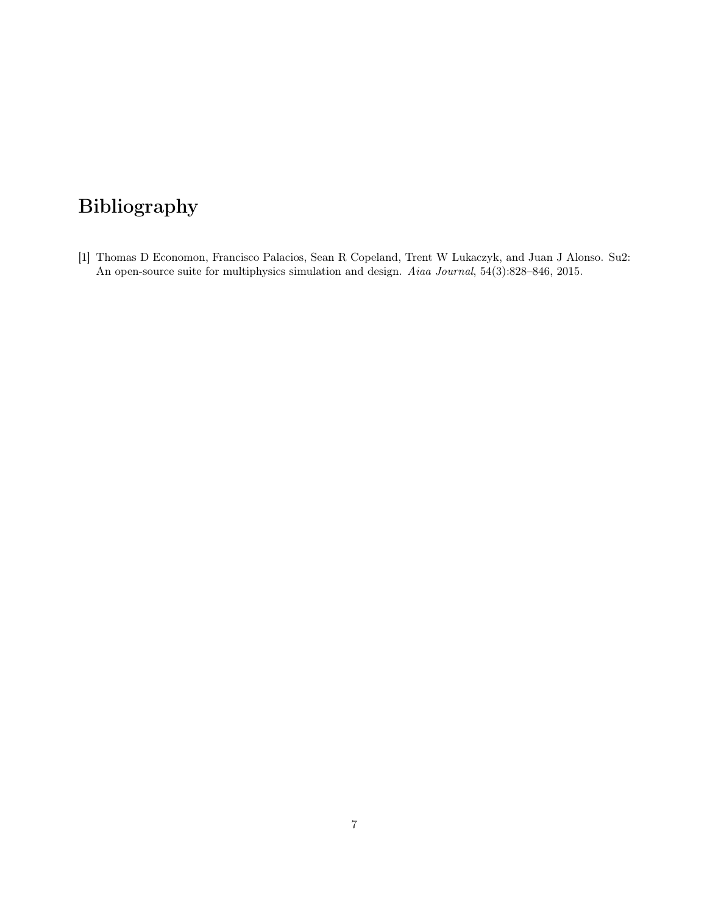### <span id="page-8-0"></span>Bibliography

<span id="page-8-1"></span>[1] Thomas D Economon, Francisco Palacios, Sean R Copeland, Trent W Lukaczyk, and Juan J Alonso. Su2: An open-source suite for multiphysics simulation and design. Aiaa Journal, 54(3):828–846, 2015.